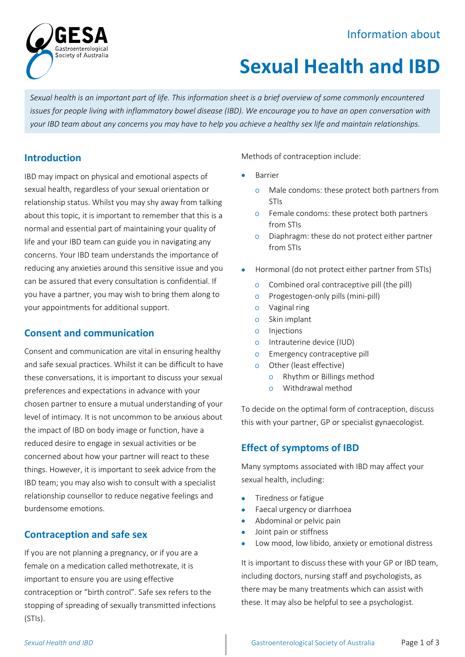## Information about



# **Sexual Health and IBD**

*Sexual health is an important part of life. This information sheet is a brief overview of some commonly encountered issues for people living with inflammatory bowel disease (IBD). We encourage you to have an open conversation with your IBD team about any concerns you may have to help you achieve a healthy sex life and maintain relationships.*

## **Introduction**

IBD may impact on physical and emotional aspects of sexual health, regardless of your sexual orientation or relationship status. Whilst you may shy away from talking about this topic, it is important to remember that this is a normal and essential part of maintaining your quality of life and your IBD team can guide you in navigating any concerns. Your IBD team understands the importance of reducing any anxieties around this sensitive issue and you can be assured that every consultation is confidential. If you have a partner, you may wish to bring them along to your appointments for additional support.

## **Consent and communication**

Consent and communication are vital in ensuring healthy and safe sexual practices. Whilst it can be difficult to have these conversations, it is important to discuss your sexual preferences and expectations in advance with your chosen partner to ensure a mutual understanding of your level of intimacy. It is not uncommon to be anxious about the impact of IBD on body image or function, have a reduced desire to engage in sexual activities or be concerned about how your partner will react to these things. However, it is important to seek advice from the IBD team; you may also wish to consult with a specialist relationship counsellor to reduce negative feelings and burdensome emotions.

## **Contraception and safe sex**

If you are not planning a pregnancy, or if you are a female on a medication called methotrexate, it is important to ensure you are using effective contraception or "birth control". Safe sex refers to the stopping of spreading of sexually transmitted infections (STIs).

Methods of contraception include:

- **Barrier** 
	- o Male condoms: these protect both partners from STIs
	- o Female condoms: these protect both partners from STIs
	- o Diaphragm: these do not protect either partner from STIs
- Hormonal (do not protect either partner from STIs)
	- o Combined oral contraceptive pill (the pill)
	- o Progestogen-only pills (mini-pill)
	- o Vaginal ring
	- o Skin implant
	- o Injections
	- o Intrauterine device (IUD)
	- o Emergency contraceptive pill
	- o Other (least effective)
		- o Rhythm or Billings method
		- o Withdrawal method

To decide on the optimal form of contraception, discuss this with your partner, GP or specialist gynaecologist.

## **Effect of symptoms of IBD**

Many symptoms associated with IBD may affect your sexual health, including:

- Tiredness or fatigue
- Faecal urgency or diarrhoea
- Abdominal or pelvic pain
- Joint pain or stiffness
- Low mood, low libido, anxiety or emotional distress

It is important to discuss these with your GP or IBD team, including doctors, nursing staff and psychologists, as there may be many treatments which can assist with these. It may also be helpful to see a psychologist.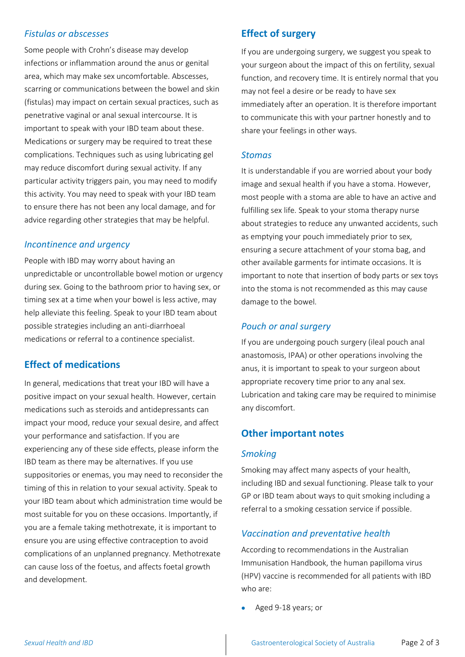## *Fistulas or abscesses*

Some people with Crohn's disease may develop infections or inflammation around the anus or genital area, which may make sex uncomfortable. Abscesses, scarring or communications between the bowel and skin (fistulas) may impact on certain sexual practices, such as penetrative vaginal or anal sexual intercourse. It is important to speak with your IBD team about these. Medications or surgery may be required to treat these complications. Techniques such as using lubricating gel may reduce discomfort during sexual activity. If any particular activity triggers pain, you may need to modify this activity. You may need to speak with your IBD team to ensure there has not been any local damage, and for advice regarding other strategies that may be helpful.

#### *Incontinence and urgency*

People with IBD may worry about having an unpredictable or uncontrollable bowel motion or urgency during sex. Going to the bathroom prior to having sex, or timing sex at a time when your bowel is less active, may help alleviate this feeling. Speak to your IBD team about possible strategies including an anti-diarrhoeal medications or referral to a continence specialist.

#### **Effect of medications**

In general, medications that treat your IBD will have a positive impact on your sexual health. However, certain medications such as steroids and antidepressants can impact your mood, reduce your sexual desire, and affect your performance and satisfaction. If you are experiencing any of these side effects, please inform the IBD team as there may be alternatives. If you use suppositories or enemas, you may need to reconsider the timing of this in relation to your sexual activity. Speak to your IBD team about which administration time would be most suitable for you on these occasions. Importantly, if you are a female taking methotrexate, it is important to ensure you are using effective contraception to avoid complications of an unplanned pregnancy. Methotrexate can cause loss of the foetus, and affects foetal growth and development.

## **Effect of surgery**

If you are undergoing surgery, we suggest you speak to your surgeon about the impact of this on fertility, sexual function, and recovery time. It is entirely normal that you may not feel a desire or be ready to have sex immediately after an operation. It is therefore important to communicate this with your partner honestly and to share your feelings in other ways.

#### *Stomas*

It is understandable if you are worried about your body image and sexual health if you have a stoma. However, most people with a stoma are able to have an active and fulfilling sex life. Speak to your stoma therapy nurse about strategies to reduce any unwanted accidents, such as emptying your pouch immediately prior to sex, ensuring a secure attachment of your stoma bag, and other available garments for intimate occasions. It is important to note that insertion of body parts or sex toys into the stoma is not recommended as this may cause damage to the bowel.

#### *Pouch or anal surgery*

If you are undergoing pouch surgery (ileal pouch anal anastomosis, IPAA) or other operations involving the anus, it is important to speak to your surgeon about appropriate recovery time prior to any anal sex. Lubrication and taking care may be required to minimise any discomfort.

## **Other important notes**

#### *Smoking*

Smoking may affect many aspects of your health, including IBD and sexual functioning. Please talk to your GP or IBD team about ways to quit smoking including a referral to a smoking cessation service if possible.

#### *Vaccination and preventative health*

According to recommendations in the Australian Immunisation Handbook, the human papilloma virus (HPV) vaccine is recommended for all patients with IBD who are:

• Aged 9-18 years; or